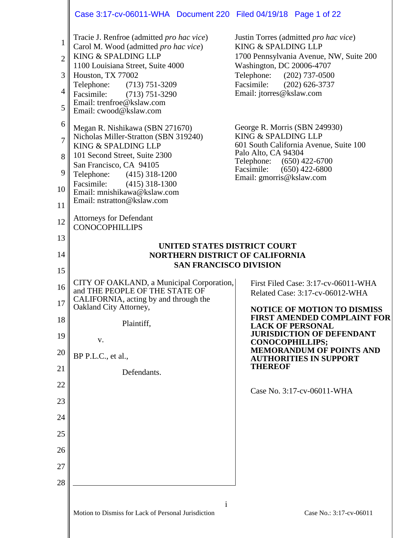|                                                                            | Case 3:17-cv-06011-WHA Document 220 Filed 04/19/18 Page 1 of 22                                                                                                                                                                                                                                                                                         |                                                                                                                                                                                                                                                                                                                                                          |
|----------------------------------------------------------------------------|---------------------------------------------------------------------------------------------------------------------------------------------------------------------------------------------------------------------------------------------------------------------------------------------------------------------------------------------------------|----------------------------------------------------------------------------------------------------------------------------------------------------------------------------------------------------------------------------------------------------------------------------------------------------------------------------------------------------------|
| $\mathbf{1}$<br>$\overline{2}$<br>3<br>4<br>5                              | Tracie J. Renfroe (admitted <i>pro hac vice</i> )<br>Carol M. Wood (admitted pro hac vice)<br>KING & SPALDING LLP<br>1100 Louisiana Street, Suite 4000<br>Houston, TX 77002<br>Telephone:<br>$(713) 751 - 3209$<br>Facsimile:<br>$(713) 751 - 3290$<br>Email: trenfroe@kslaw.com<br>Email: cwood@kslaw.com                                              | Justin Torres (admitted pro hac vice)<br>KING & SPALDING LLP<br>1700 Pennsylvania Avenue, NW, Suite 200<br>Washington, DC 20006-4707<br>Telephone: (202) 737-0500<br>Facsimile:<br>$(202)$ 626-3737<br>Email: jtorres@kslaw.com                                                                                                                          |
| 6<br>$\overline{7}$<br>8<br>9<br>10<br>11<br>12                            | Megan R. Nishikawa (SBN 271670)<br>Nicholas Miller-Stratton (SBN 319240)<br>KING & SPALDING LLP<br>101 Second Street, Suite 2300<br>San Francisco, CA 94105<br>Telephone:<br>$(415)$ 318-1200<br>Facsimile:<br>$(415)$ 318-1300<br>Email: mnishikawa@kslaw.com<br>Email: nstratton@kslaw.com<br><b>Attorneys for Defendant</b><br><b>CONOCOPHILLIPS</b> | George R. Morris (SBN 249930)<br>KING & SPALDING LLP<br>601 South California Avenue, Suite 100<br>Palo Alto, CA 94304<br>Telephone: (650) 422-6700<br>Facsimile:<br>$(650)$ 422-6800<br>Email: gmorris@kslaw.com                                                                                                                                         |
| 13<br>14<br>15                                                             | UNITED STATES DISTRICT COURT<br><b>NORTHERN DISTRICT OF CALIFORNIA</b><br><b>SAN FRANCISCO DIVISION</b>                                                                                                                                                                                                                                                 |                                                                                                                                                                                                                                                                                                                                                          |
| 16<br>17<br>18<br>19<br>20<br>21<br>22<br>23<br>24<br>25<br>26<br>27<br>28 | CITY OF OAKLAND, a Municipal Corporation,<br>and THE PEOPLE OF THE STATE OF<br>CALIFORNIA, acting by and through the<br>Oakland City Attorney,<br>Plaintiff,<br>V.<br>BP P.L.C., et al.,<br>Defendants.                                                                                                                                                 | First Filed Case: 3:17-cv-06011-WHA<br>Related Case: 3:17-cv-06012-WHA<br><b>NOTICE OF MOTION TO DISMISS</b><br>FIRST AMENDED COMPLAINT FOR<br><b>LACK OF PERSONAL</b><br><b>JURISDICTION OF DEFENDANT</b><br><b>CONOCOPHILLIPS;</b><br><b>MEMORANDUM OF POINTS AND</b><br><b>AUTHORITIES IN SUPPORT</b><br><b>THEREOF</b><br>Case No. 3:17-cv-06011-WHA |
|                                                                            |                                                                                                                                                                                                                                                                                                                                                         |                                                                                                                                                                                                                                                                                                                                                          |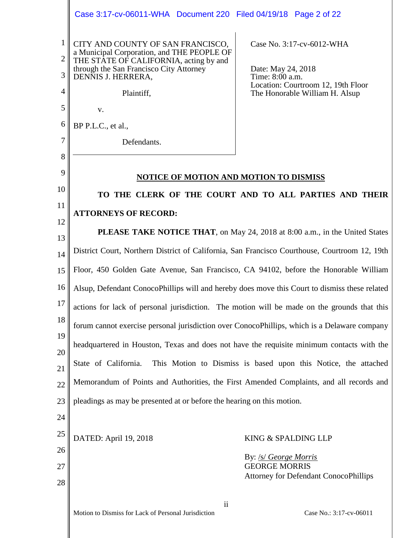ii Motion to Dismiss for Lack of Personal Jurisdiction Case No.: 3:17-cv-06011 1 2 3 4 5 6 7 8 9 10 11 12 13 14 15 16 17 18 19 20 21 22 23 24 25 26 27 28 CITY AND COUNTY OF SAN FRANCISCO, a Municipal Corporation, and THE PEOPLE OF THE STATE OF CALIFORNIA, acting by and through the San Francisco City Attorney DENNIS J. HERRERA, Plaintiff, v. BP P.L.C., et al., Defendants. Case No. 3:17-cv-6012-WHA Date: May 24, 2018 Time: 8:00 a.m. Location: Courtroom 12, 19th Floor The Honorable William H. Alsup **NOTICE OF MOTION AND MOTION TO DISMISS TO THE CLERK OF THE COURT AND TO ALL PARTIES AND THEIR ATTORNEYS OF RECORD: PLEASE TAKE NOTICE THAT**, on May 24, 2018 at 8:00 a.m., in the United States District Court, Northern District of California, San Francisco Courthouse, Courtroom 12, 19th Floor, 450 Golden Gate Avenue, San Francisco, CA 94102, before the Honorable William Alsup, Defendant ConocoPhillips will and hereby does move this Court to dismiss these related actions for lack of personal jurisdiction. The motion will be made on the grounds that this forum cannot exercise personal jurisdiction over ConocoPhillips, which is a Delaware company headquartered in Houston, Texas and does not have the requisite minimum contacts with the State of California. This Motion to Dismiss is based upon this Notice, the attached Memorandum of Points and Authorities, the First Amended Complaints, and all records and pleadings as may be presented at or before the hearing on this motion. DATED: April 19, 2018 KING & SPALDING LLP By: /s/ *George Morris* GEORGE MORRIS Attorney for Defendant ConocoPhillips Case 3:17-cv-06011-WHA Document 220 Filed 04/19/18 Page 2 of 22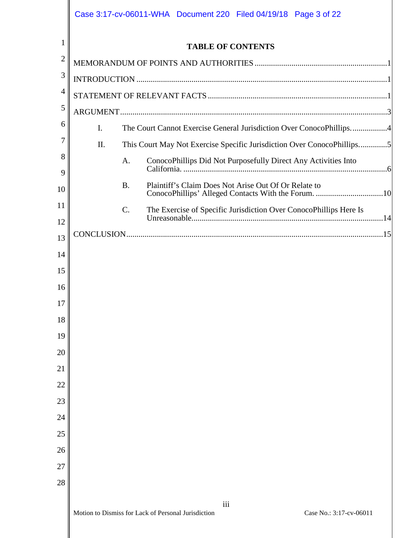|                |                | Case 3:17-cv-06011-WHA  Document 220  Filed 04/19/18  Page 3 of 22                                                       |
|----------------|----------------|--------------------------------------------------------------------------------------------------------------------------|
| $\mathbf{1}$   |                | <b>TABLE OF CONTENTS</b>                                                                                                 |
| $\overline{2}$ |                |                                                                                                                          |
| 3              |                |                                                                                                                          |
| 4              |                |                                                                                                                          |
| 5              |                |                                                                                                                          |
| 6              | $\mathbf{I}$ . | The Court Cannot Exercise General Jurisdiction Over ConocoPhillips4                                                      |
| 7              | Π.             | This Court May Not Exercise Specific Jurisdiction Over ConocoPhillips5                                                   |
| 8<br>9         |                | ConocoPhillips Did Not Purposefully Direct Any Activities Into<br>A.                                                     |
| 10             |                | Plaintiff's Claim Does Not Arise Out Of Or Relate to<br><b>B.</b><br>ConocoPhillips' Alleged Contacts With the Forum. 10 |
| 11             |                | The Exercise of Specific Jurisdiction Over ConocoPhillips Here Is<br>C.                                                  |
| 12             |                |                                                                                                                          |
| 13             |                |                                                                                                                          |
| 14             |                |                                                                                                                          |
| 15             |                |                                                                                                                          |
| 16             |                |                                                                                                                          |
| 17             |                |                                                                                                                          |
| 18             |                |                                                                                                                          |
| 19             |                |                                                                                                                          |
| 20             |                |                                                                                                                          |
| 21             |                |                                                                                                                          |
| 22             |                |                                                                                                                          |
| 23             |                |                                                                                                                          |
| 24             |                |                                                                                                                          |
| 25             |                |                                                                                                                          |
| 26             |                |                                                                                                                          |
| 27             |                |                                                                                                                          |
| 28             |                |                                                                                                                          |
|                |                | iii<br>Motion to Dismiss for Lack of Personal Jurisdiction<br>Case No.: 3:17-cv-06011                                    |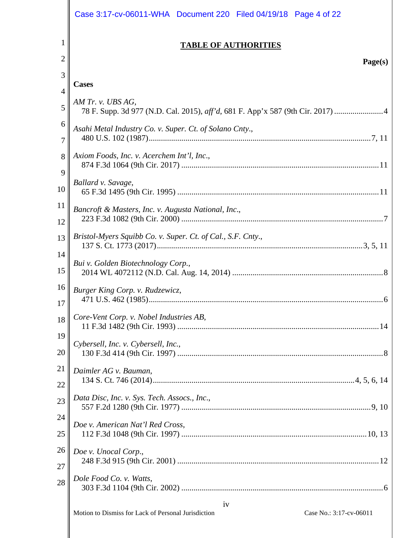|          | Case 3:17-cv-06011-WHA Document 220 Filed 04/19/18 Page 4 of 22                |
|----------|--------------------------------------------------------------------------------|
| 1<br>2   | <b>TABLE OF AUTHORITIES</b>                                                    |
| 3        | Page(s)                                                                        |
|          | <b>Cases</b>                                                                   |
| 4        | AM Tr. v. UBS AG,                                                              |
| 5        | 78 F. Supp. 3d 977 (N.D. Cal. 2015), aff'd, 681 F. App'x 587 (9th Cir. 2017) 4 |
| 6<br>7   | Asahi Metal Industry Co. v. Super. Ct. of Solano Cnty.,                        |
| 8        | Axiom Foods, Inc. v. Acerchem Int'l, Inc.,                                     |
| 9<br>10  | Ballard v. Savage,                                                             |
| 11<br>12 | Bancroft & Masters, Inc. v. Augusta National, Inc.,                            |
| 13<br>14 | Bristol-Myers Squibb Co. v. Super. Ct. of Cal., S.F. Cnty.,                    |
| 15       | Bui v. Golden Biotechnology Corp.,                                             |
| 16<br>17 | Burger King Corp. v. Rudzewicz,                                                |
| 18       | Core-Vent Corp. v. Nobel Industries AB,                                        |
| 19<br>20 | Cybersell, Inc. v. Cybersell, Inc.,                                            |
| 21<br>22 | Daimler AG v. Bauman,                                                          |
| 23       | Data Disc, Inc. v. Sys. Tech. Assocs., Inc.,                                   |
| 24<br>25 | Doe v. American Nat'l Red Cross,                                               |
| 26<br>27 | Doe v. Unocal Corp.,                                                           |
| 28       | Dole Food Co. v. Watts,                                                        |
|          | iv                                                                             |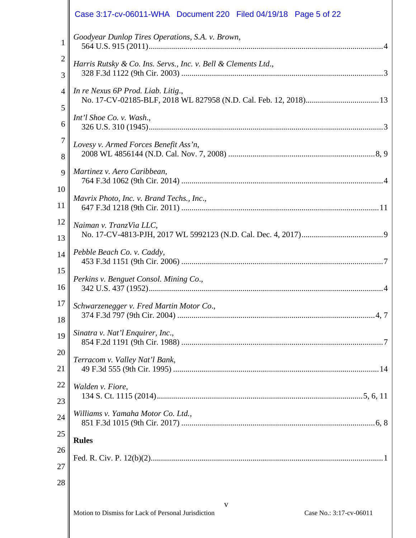|                     | Case 3:17-cv-06011-WHA  Document 220  Filed 04/19/18  Page 5 of 22                  |
|---------------------|-------------------------------------------------------------------------------------|
| $\mathbf{1}$        | Goodyear Dunlop Tires Operations, S.A. v. Brown,                                    |
| $\overline{2}$<br>3 | Harris Rutsky & Co. Ins. Servs., Inc. v. Bell & Clements Ltd.,                      |
| $\overline{4}$<br>5 | In re Nexus 6P Prod. Liab. Litig.,                                                  |
| 6                   | Int'l Shoe Co. v. Wash.,                                                            |
| 7<br>8              | Lovesy v. Armed Forces Benefit Ass'n,                                               |
| 9                   | Martinez v. Aero Caribbean,                                                         |
| 10<br>11            | Mavrix Photo, Inc. v. Brand Techs., Inc.,                                           |
| 12<br>13            | Naiman v. TranzVia LLC,                                                             |
| 14                  | Pebble Beach Co. v. Caddy,                                                          |
| 15<br>16            | Perkins v. Benguet Consol. Mining Co.,                                              |
| 18                  | $17 \parallel$ Schwarzenegger v. Fred Martin Motor Co.,                             |
| 19                  | Sinatra v. Nat'l Enquirer, Inc.,                                                    |
| 20<br>21            | Terracom v. Valley Nat'l Bank,                                                      |
| 22<br>23            | Walden v. Fiore,                                                                    |
| 24                  | Williams v. Yamaha Motor Co. Ltd.,                                                  |
| 25                  | <b>Rules</b>                                                                        |
| 26<br>27            |                                                                                     |
| 28                  |                                                                                     |
|                     | V<br>Motion to Dismiss for Lack of Personal Iurisdiction<br>$Case No.3.17-cy-06011$ |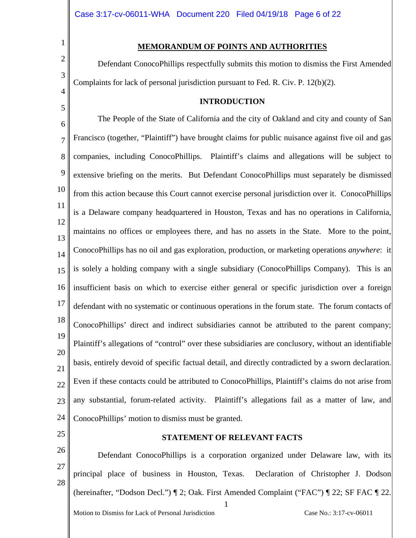## **MEMORANDUM OF POINTS AND AUTHORITIES**

Defendant ConocoPhillips respectfully submits this motion to dismiss the First Amended Complaints for lack of personal jurisdiction pursuant to Fed. R. Civ. P. 12(b)(2).

## **INTRODUCTION**

6 7 8 9 10 11 12 13 14 15 16 17 18 19 20 21 22 23 24 The People of the State of California and the city of Oakland and city and county of San Francisco (together, "Plaintiff") have brought claims for public nuisance against five oil and gas companies, including ConocoPhillips. Plaintiff's claims and allegations will be subject to extensive briefing on the merits. But Defendant ConocoPhillips must separately be dismissed from this action because this Court cannot exercise personal jurisdiction over it. ConocoPhillips is a Delaware company headquartered in Houston, Texas and has no operations in California, maintains no offices or employees there, and has no assets in the State. More to the point, ConocoPhillips has no oil and gas exploration, production, or marketing operations *anywhere*: it is solely a holding company with a single subsidiary (ConocoPhillips Company). This is an insufficient basis on which to exercise either general or specific jurisdiction over a foreign defendant with no systematic or continuous operations in the forum state. The forum contacts of ConocoPhillips' direct and indirect subsidiaries cannot be attributed to the parent company; Plaintiff's allegations of "control" over these subsidiaries are conclusory, without an identifiable basis, entirely devoid of specific factual detail, and directly contradicted by a sworn declaration. Even if these contacts could be attributed to ConocoPhillips, Plaintiff's claims do not arise from any substantial, forum-related activity. Plaintiff's allegations fail as a matter of law, and ConocoPhillips' motion to dismiss must be granted.

25

26

27

28

1

2

3

4

5

#### **STATEMENT OF RELEVANT FACTS**

1 Motion to Dismiss for Lack of Personal Jurisdiction Case No.: 3:17-cv-06011 Defendant ConocoPhillips is a corporation organized under Delaware law, with its principal place of business in Houston, Texas. Declaration of Christopher J. Dodson (hereinafter, "Dodson Decl.") ¶ 2; Oak. First Amended Complaint ("FAC") ¶ 22; SF FAC ¶ 22.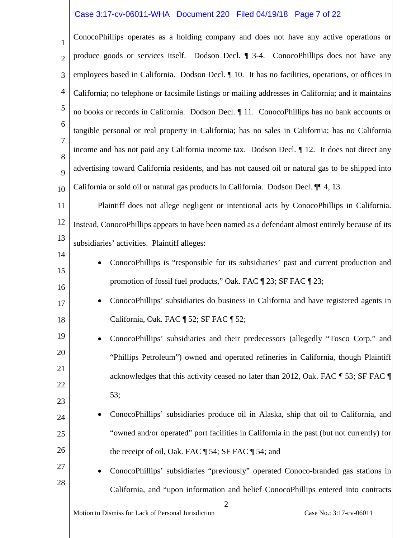## Case 3:17-cv-06011-WHA Document 220 Filed 04/19/18 Page 7 of 22

1 2 3 4 5 6 7 8 9 10 ConocoPhillips operates as a holding company and does not have any active operations or produce goods or services itself. Dodson Decl. ¶ 3-4. ConocoPhillips does not have any employees based in California. Dodson Decl.  $\P$  10. It has no facilities, operations, or offices in California; no telephone or facsimile listings or mailing addresses in California; and it maintains no books or records in California. Dodson Decl. ¶ 11. ConocoPhillips has no bank accounts or tangible personal or real property in California; has no sales in California; has no California income and has not paid any California income tax. Dodson Decl. ¶ 12. It does not direct any advertising toward California residents, and has not caused oil or natural gas to be shipped into California or sold oil or natural gas products in California. Dodson Decl. ¶¶ 4, 13.

11 12 13 Plaintiff does not allege negligent or intentional acts by ConocoPhillips in California. Instead, ConocoPhillips appears to have been named as a defendant almost entirely because of its subsidiaries' activities. Plaintiff alleges:

14 15

16

17

18

- ConocoPhillips is "responsible for its subsidiaries' past and current production and promotion of fossil fuel products," Oak. FAC ¶ 23; SF FAC ¶ 23;
- ConocoPhillips' subsidiaries do business in California and have registered agents in California, Oak. FAC ¶ 52; SF FAC ¶ 52;
- 19 20 21 22 23 • ConocoPhillips' subsidiaries and their predecessors (allegedly "Tosco Corp." and "Phillips Petroleum") owned and operated refineries in California, though Plaintiff acknowledges that this activity ceased no later than 2012, Oak. FAC ¶ 53; SF FAC ¶ 53;
- 24 25 26 • ConocoPhillips' subsidiaries produce oil in Alaska, ship that oil to California, and "owned and/or operated" port facilities in California in the past (but not currently) for the receipt of oil, Oak. FAC ¶ 54; SF FAC ¶ 54; and

2

27 28

• ConocoPhillips' subsidiaries "previously" operated Conoco-branded gas stations in California, and "upon information and belief ConocoPhillips entered into contracts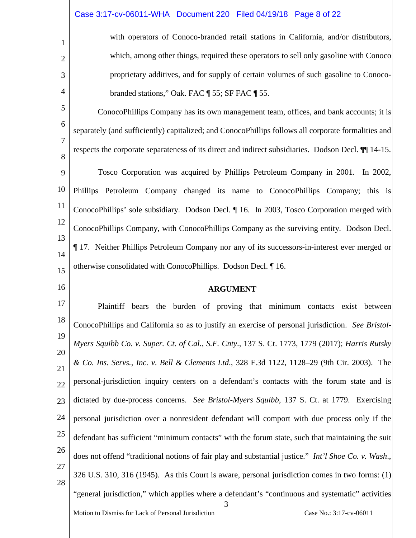# Case 3:17-cv-06011-WHA Document 220 Filed 04/19/18 Page 8 of 22

1

2

3

4

5

6

7

8

16

with operators of Conoco-branded retail stations in California, and/or distributors, which, among other things, required these operators to sell only gasoline with Conoco proprietary additives, and for supply of certain volumes of such gasoline to Conocobranded stations," Oak. FAC ¶ 55; SF FAC ¶ 55.

ConocoPhillips Company has its own management team, offices, and bank accounts; it is separately (and sufficiently) capitalized; and ConocoPhillips follows all corporate formalities and respects the corporate separateness of its direct and indirect subsidiaries. Dodson Decl. ¶¶ 14-15.

9 10 11 12 13 14 15 Tosco Corporation was acquired by Phillips Petroleum Company in 2001. In 2002, Phillips Petroleum Company changed its name to ConocoPhillips Company; this is ConocoPhillips' sole subsidiary. Dodson Decl. ¶ 16. In 2003, Tosco Corporation merged with ConocoPhillips Company, with ConocoPhillips Company as the surviving entity. Dodson Decl. ¶ 17. Neither Phillips Petroleum Company nor any of its successors-in-interest ever merged or otherwise consolidated with ConocoPhillips. Dodson Decl. ¶ 16.

#### **ARGUMENT**

3 17 18 19 20 21 22 23 24 25 26 27 28 Plaintiff bears the burden of proving that minimum contacts exist between ConocoPhillips and California so as to justify an exercise of personal jurisdiction. *See Bristol-Myers Squibb Co. v. Super. Ct. of Cal., S.F. Cnty*., 137 S. Ct. 1773, 1779 (2017); *Harris Rutsky & Co. Ins. Servs., Inc. v. Bell & Clements Ltd*., 328 F.3d 1122, 1128–29 (9th Cir. 2003). The personal-jurisdiction inquiry centers on a defendant's contacts with the forum state and is dictated by due-process concerns. *See Bristol-Myers Squibb*, 137 S. Ct. at 1779. Exercising personal jurisdiction over a nonresident defendant will comport with due process only if the defendant has sufficient "minimum contacts" with the forum state, such that maintaining the suit does not offend "traditional notions of fair play and substantial justice." *Int'l Shoe Co. v. Wash*., 326 U.S. 310, 316 (1945). As this Court is aware, personal jurisdiction comes in two forms: (1) "general jurisdiction," which applies where a defendant's "continuous and systematic" activities

Motion to Dismiss for Lack of Personal Jurisdiction Case No.: 3:17-cv-06011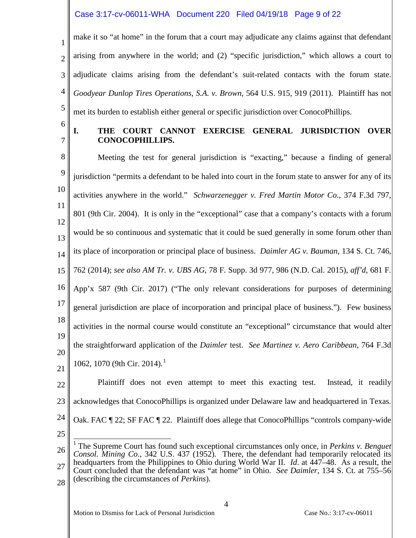# Case 3:17-cv-06011-WHA Document 220 Filed 04/19/18 Page 9 of 22

1 2 3 4 5 make it so "at home" in the forum that a court may adjudicate any claims against that defendant arising from anywhere in the world; and (2) "specific jurisdiction," which allows a court to adjudicate claims arising from the defendant's suit-related contacts with the forum state. *Goodyear Dunlop Tires Operations, S.A. v. Brown*, 564 U.S. 915, 919 (2011). Plaintiff has not met its burden to establish either general or specific jurisdiction over ConocoPhillips.

6 7

# **I. THE COURT CANNOT EXERCISE GENERAL JURISDICTION OVER CONOCOPHILLIPS.**

8 9 10 11 12 13 14 15 16 17 18 19 20 21 Meeting the test for general jurisdiction is "exacting," because a finding of general jurisdiction "permits a defendant to be haled into court in the forum state to answer for any of its activities anywhere in the world." *Schwarzenegger v. Fred Martin Motor Co*., 374 F.3d 797, 801 (9th Cir. 2004). It is only in the "exceptional" case that a company's contacts with a forum would be so continuous and systematic that it could be sued generally in some forum other than its place of incorporation or principal place of business. *Daimler AG v. Bauman*, 134 S. Ct. 746, 762 (2014); *see also AM Tr. v. UBS AG*, 78 F. Supp. 3d 977, 986 (N.D. Cal. 2015), *aff'd*, 681 F. App'x 587 (9th Cir. 2017) ("The only relevant considerations for purposes of determining general jurisdiction are place of incorporation and principal place of business."). Few business activities in the normal course would constitute an "exceptional" circumstance that would alter the straightforward application of the *Daimler* test. *See Martinez v. Aero Caribbean*, 764 F.3d 1062, 1070 (9th Cir. 2014). [1](#page-8-0)

22 23 24 Plaintiff does not even attempt to meet this exacting test. Instead, it readily acknowledges that ConocoPhillips is organized under Delaware law and headquartered in Texas. Oak. FAC  $\parallel$  22; SF FAC  $\parallel$  22. Plaintiff does allege that ConocoPhillips "controls company-wide

- 25
- <span id="page-8-0"></span>26 27 28 <sup>1</sup> The Supreme Court has found such exceptional circumstances only once, in *Perkins v. Benguet Consol. Mining Co*., 342 U.S. 437 (1952). There, the defendant had temporarily relocated its headquarters from the Philippines to Ohio during World War II. *Id*. at 447–48. As a result, the Court concluded that the defendant was "at home" in Ohio. *See Daimler*, 134 S. Ct. at 755–56 (describing the circumstances of *Perkins*).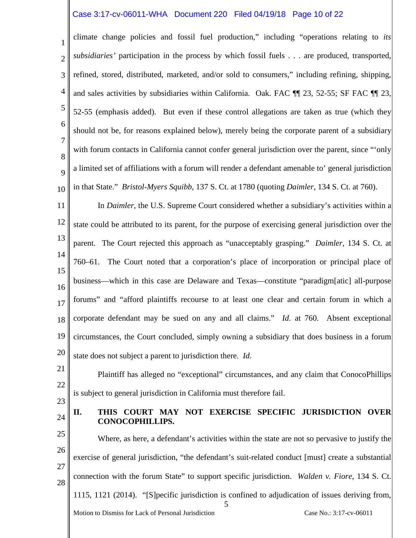## Case 3:17-cv-06011-WHA Document 220 Filed 04/19/18 Page 10 of 22

1 2 3 4 5 6 7 8 9 10 climate change policies and fossil fuel production," including "operations relating to *its subsidiaries'* participation in the process by which fossil fuels . . . are produced, transported, refined, stored, distributed, marketed, and/or sold to consumers," including refining, shipping, and sales activities by subsidiaries within California. Oak. FAC ¶¶ 23, 52-55; SF FAC ¶¶ 23, 52-55 (emphasis added). But even if these control allegations are taken as true (which they should not be, for reasons explained below), merely being the corporate parent of a subsidiary with forum contacts in California cannot confer general jurisdiction over the parent, since "'only a limited set of affiliations with a forum will render a defendant amenable to' general jurisdiction in that State." *Bristol-Myers Squibb*, 137 S. Ct. at 1780 (quoting *Daimler*, 134 S. Ct. at 760).

11 12 13 14 15 16 17 18 19 20 In *Daimler*, the U.S. Supreme Court considered whether a subsidiary's activities within a state could be attributed to its parent, for the purpose of exercising general jurisdiction over the parent. The Court rejected this approach as "unacceptably grasping." *Daimler*, 134 S. Ct. at 760–61. The Court noted that a corporation's place of incorporation or principal place of business—which in this case are Delaware and Texas—constitute "paradigm[atic] all-purpose forums" and "afford plaintiffs recourse to at least one clear and certain forum in which a corporate defendant may be sued on any and all claims." *Id*. at 760. Absent exceptional circumstances, the Court concluded, simply owning a subsidiary that does business in a forum state does not subject a parent to jurisdiction there. *Id*.

21 22 23 Plaintiff has alleged no "exceptional" circumstances, and any claim that ConocoPhillips is subject to general jurisdiction in California must therefore fail.

24

## **II. THIS COURT MAY NOT EXERCISE SPECIFIC JURISDICTION OVER CONOCOPHILLIPS.**

5 Motion to Dismiss for Lack of Personal Jurisdiction Case No.: 3:17-cv-06011 25 26 27 28 Where, as here, a defendant's activities within the state are not so pervasive to justify the exercise of general jurisdiction, "the defendant's suit-related conduct [must] create a substantial connection with the forum State" to support specific jurisdiction. *Walden v. Fiore*, 134 S. Ct. 1115, 1121 (2014). "[S]pecific jurisdiction is confined to adjudication of issues deriving from,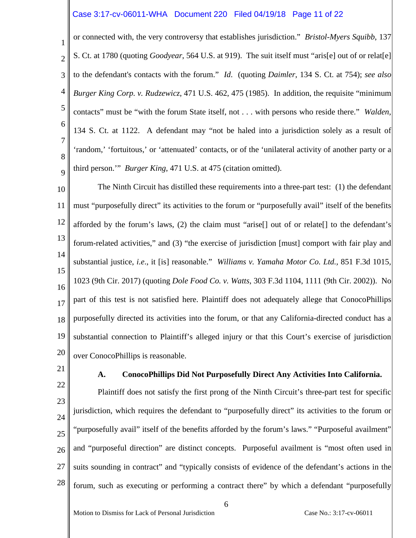## Case 3:17-cv-06011-WHA Document 220 Filed 04/19/18 Page 11 of 22

1 2 3 4 5 6 7 8 9 or connected with, the very controversy that establishes jurisdiction." *Bristol-Myers Squibb*, 137 S. Ct. at 1780 (quoting *Goodyear*, 564 U.S. at 919). The suit itself must "aris[e] out of or relat[e] to the defendant's contacts with the forum." *Id*. (quoting *Daimler*, 134 S. Ct. at 754); *see also Burger King Corp. v. Rudzewicz*, 471 U.S. 462, 475 (1985). In addition, the requisite "minimum contacts" must be "with the forum State itself, not . . . with persons who reside there." *Walden*, 134 S. Ct. at 1122. A defendant may "not be haled into a jurisdiction solely as a result of 'random,' 'fortuitous,' or 'attenuated' contacts, or of the 'unilateral activity of another party or a third person.'" *Burger King*, 471 U.S. at 475 (citation omitted).

10 11 12 13 14 15 16 17 18 19 20 The Ninth Circuit has distilled these requirements into a three-part test: (1) the defendant must "purposefully direct" its activities to the forum or "purposefully avail" itself of the benefits afforded by the forum's laws, (2) the claim must "arise[] out of or relate[] to the defendant's forum-related activities," and (3) "the exercise of jurisdiction [must] comport with fair play and substantial justice, *i.e*., it [is] reasonable." *Williams v. Yamaha Motor Co. Ltd.,* 851 F.3d 1015, 1023 (9th Cir. 2017) (quoting *Dole Food Co. v. Watts*, 303 F.3d 1104, 1111 (9th Cir. 2002)). No part of this test is not satisfied here. Plaintiff does not adequately allege that ConocoPhillips purposefully directed its activities into the forum, or that any California-directed conduct has a substantial connection to Plaintiff's alleged injury or that this Court's exercise of jurisdiction over ConocoPhillips is reasonable.

21

#### **A. ConocoPhillips Did Not Purposefully Direct Any Activities Into California.**

22 23 24 25 26 27 28 Plaintiff does not satisfy the first prong of the Ninth Circuit's three-part test for specific jurisdiction, which requires the defendant to "purposefully direct" its activities to the forum or "purposefully avail" itself of the benefits afforded by the forum's laws." "Purposeful availment" and "purposeful direction" are distinct concepts. Purposeful availment is "most often used in suits sounding in contract" and "typically consists of evidence of the defendant's actions in the forum, such as executing or performing a contract there" by which a defendant "purposefully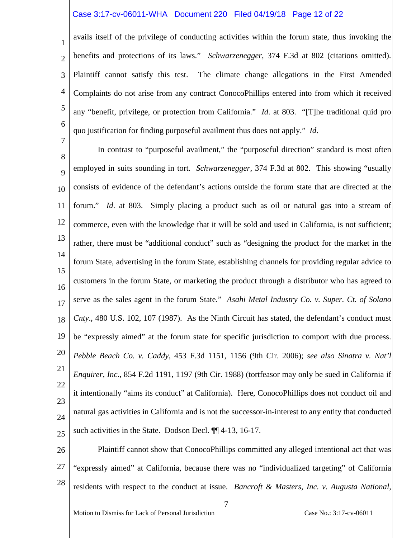## Case 3:17-cv-06011-WHA Document 220 Filed 04/19/18 Page 12 of 22

1 2 3 4 5 6 7 avails itself of the privilege of conducting activities within the forum state, thus invoking the benefits and protections of its laws." *Schwarzenegger*, 374 F.3d at 802 (citations omitted). Plaintiff cannot satisfy this test. The climate change allegations in the First Amended Complaints do not arise from any contract ConocoPhillips entered into from which it received any "benefit, privilege, or protection from California." *Id*. at 803. "[T]he traditional quid pro quo justification for finding purposeful availment thus does not apply." *Id*.

8 9 10 11 12 13 14 15 16 17 18 19 20 21 22 23 24 25 In contrast to "purposeful availment," the "purposeful direction" standard is most often employed in suits sounding in tort. *Schwarzenegger*, 374 F.3d at 802. This showing "usually consists of evidence of the defendant's actions outside the forum state that are directed at the forum." *Id*. at 803. Simply placing a product such as oil or natural gas into a stream of commerce, even with the knowledge that it will be sold and used in California, is not sufficient; rather, there must be "additional conduct" such as "designing the product for the market in the forum State, advertising in the forum State, establishing channels for providing regular advice to customers in the forum State, or marketing the product through a distributor who has agreed to serve as the sales agent in the forum State." *Asahi Metal Industry Co. v. Super. Ct. of Solano Cnty*., 480 U.S. 102, 107 (1987). As the Ninth Circuit has stated, the defendant's conduct must be "expressly aimed" at the forum state for specific jurisdiction to comport with due process. *Pebble Beach Co. v. Caddy*, 453 F.3d 1151, 1156 (9th Cir. 2006); *see also Sinatra v. Nat'l Enquirer, Inc*., 854 F.2d 1191, 1197 (9th Cir. 1988) (tortfeasor may only be sued in California if it intentionally "aims its conduct" at California). Here, ConocoPhillips does not conduct oil and natural gas activities in California and is not the successor-in-interest to any entity that conducted such activities in the State. Dodson Decl. ¶¶ 4-13, 16-17.

26 27 28 Plaintiff cannot show that ConocoPhillips committed any alleged intentional act that was "expressly aimed" at California, because there was no "individualized targeting" of California residents with respect to the conduct at issue. *Bancroft & Masters, Inc. v. Augusta National,*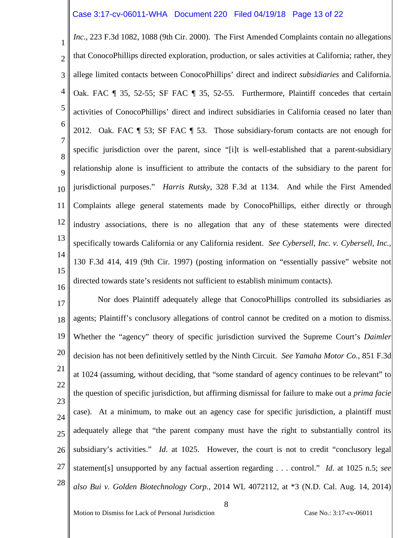## Case 3:17-cv-06011-WHA Document 220 Filed 04/19/18 Page 13 of 22

1 2 3 4 5 6 7 8  $\overline{Q}$ 10 11 12 13 14 15 16 *Inc*., 223 F.3d 1082, 1088 (9th Cir. 2000). The First Amended Complaints contain no allegations that ConocoPhillips directed exploration, production, or sales activities at California; rather, they allege limited contacts between ConocoPhillips' direct and indirect *subsidiaries* and California. Oak. FAC ¶ 35, 52-55; SF FAC ¶ 35, 52-55. Furthermore, Plaintiff concedes that certain activities of ConocoPhillips' direct and indirect subsidiaries in California ceased no later than 2012. Oak. FAC ¶ 53; SF FAC ¶ 53. Those subsidiary-forum contacts are not enough for specific jurisdiction over the parent, since "[i]t is well-established that a parent-subsidiary relationship alone is insufficient to attribute the contacts of the subsidiary to the parent for jurisdictional purposes." *Harris Rutsky*, 328 F.3d at 1134. And while the First Amended Complaints allege general statements made by ConocoPhillips, either directly or through industry associations, there is no allegation that any of these statements were directed specifically towards California or any California resident. *See Cybersell, Inc. v. Cybersell, Inc.*, 130 F.3d 414, 419 (9th Cir. 1997) (posting information on "essentially passive" website not directed towards state's residents not sufficient to establish minimum contacts).

17 18 19 20 21 22 23 24 25 26 27 28 Nor does Plaintiff adequately allege that ConocoPhillips controlled its subsidiaries as agents; Plaintiff's conclusory allegations of control cannot be credited on a motion to dismiss. Whether the "agency" theory of specific jurisdiction survived the Supreme Court's *Daimler* decision has not been definitively settled by the Ninth Circuit. *See Yamaha Motor Co.*, 851 F.3d at 1024 (assuming, without deciding, that "some standard of agency continues to be relevant" to the question of specific jurisdiction, but affirming dismissal for failure to make out a *prima facie* case). At a minimum, to make out an agency case for specific jurisdiction, a plaintiff must adequately allege that "the parent company must have the right to substantially control its subsidiary's activities." *Id.* at 1025. However, the court is not to credit "conclusory legal statement[s] unsupported by any factual assertion regarding . . . control." *Id*. at 1025 n.5; *see also Bui v. Golden Biotechnology Corp.*, 2014 WL 4072112, at \*3 (N.D. Cal. Aug. 14, 2014)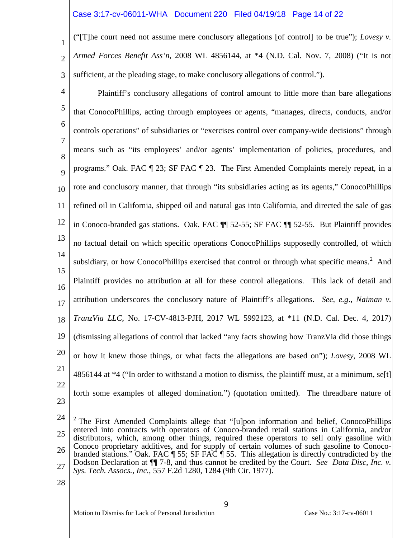# Case 3:17-cv-06011-WHA Document 220 Filed 04/19/18 Page 14 of 22

1 2 3 ("[T]he court need not assume mere conclusory allegations [of control] to be true"); *Lovesy v. Armed Forces Benefit Ass'n*, 2008 WL 4856144, at \*4 (N.D. Cal. Nov. 7, 2008) ("It is not sufficient, at the pleading stage, to make conclusory allegations of control.").

4 5 6 7 8 9 10 11 12 13 14 15 16 17 18 19 20 21 22 23 Plaintiff's conclusory allegations of control amount to little more than bare allegations that ConocoPhillips, acting through employees or agents, "manages, directs, conducts, and/or controls operations" of subsidiaries or "exercises control over company-wide decisions" through means such as "its employees' and/or agents' implementation of policies, procedures, and programs." Oak. FAC ¶ 23; SF FAC ¶ 23. The First Amended Complaints merely repeat, in a rote and conclusory manner, that through "its subsidiaries acting as its agents," ConocoPhillips refined oil in California, shipped oil and natural gas into California, and directed the sale of gas in Conoco-branded gas stations. Oak. FAC ¶¶ 52-55; SF FAC ¶¶ 52-55. But Plaintiff provides no factual detail on which specific operations ConocoPhillips supposedly controlled, of which subsidiary, or how ConocoPhillips exercised that control or through what specific means.<sup>[2](#page-13-0)</sup> And Plaintiff provides no attribution at all for these control allegations. This lack of detail and attribution underscores the conclusory nature of Plaintiff's allegations. *See, e.g*., *Naiman v. TranzVia LLC*, No. 17-CV-4813-PJH, 2017 WL 5992123, at \*11 (N.D. Cal. Dec. 4, 2017) (dismissing allegations of control that lacked "any facts showing how TranzVia did those things or how it knew those things, or what facts the allegations are based on"); *Lovesy*, 2008 WL 4856144 at  $*4$  ("In order to withstand a motion to dismiss, the plaintiff must, at a minimum, se[t] forth some examples of alleged domination.") (quotation omitted). The threadbare nature of

<span id="page-13-0"></span><sup>24</sup> 25 26 27 <sup>2</sup> The First Amended Complaints allege that "[u]pon information and belief, ConocoPhillips entered into contracts with operators of Conoco-branded retail stations in California, and/or distributors, which, among other things, required these operators to sell only gasoline with Conoco proprietary additives, and for supply of certain volumes of such gasoline to Conocobranded stations." Oak. FAC ¶ 55; SF FAC ¶ 55. This allegation is directly contradicted by the Dodson Declaration at ¶¶ 7-8, and thus cannot be credited by the Court. *See Data Disc, Inc. v. Sys. Tech. Assocs., Inc.*, 557 F.2d 1280, 1284 (9th Cir. 1977).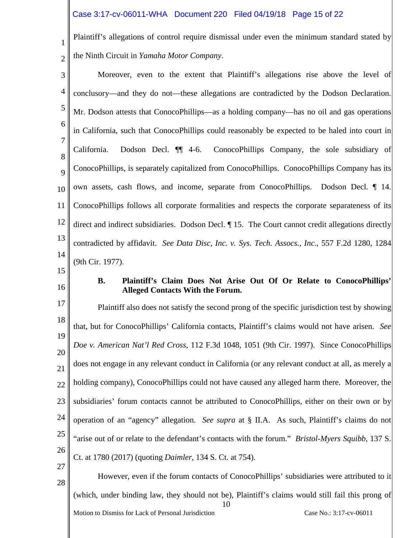## Case 3:17-cv-06011-WHA Document 220 Filed 04/19/18 Page 15 of 22

Plaintiff's allegations of control require dismissal under even the minimum standard stated by the Ninth Circuit in *Yamaha Motor Company*.

3 4 5 6 7 8 9 10 11 12 13 14 Moreover, even to the extent that Plaintiff's allegations rise above the level of conclusory—and they do not—these allegations are contradicted by the Dodson Declaration. Mr. Dodson attests that ConocoPhillips—as a holding company—has no oil and gas operations in California, such that ConocoPhillips could reasonably be expected to be haled into court in California. Dodson Decl. ¶¶ 4-6. ConocoPhillips Company, the sole subsidiary of ConocoPhillips, is separately capitalized from ConocoPhillips. ConocoPhillips Company has its own assets, cash flows, and income, separate from ConocoPhillips. Dodson Decl. ¶ 14. ConocoPhillips follows all corporate formalities and respects the corporate separateness of its direct and indirect subsidiaries. Dodson Decl. ¶ 15. The Court cannot credit allegations directly contradicted by affidavit. *See Data Disc, Inc. v. Sys. Tech. Assocs., Inc*., 557 F.2d 1280, 1284 (9th Cir. 1977).

15

1

2

16

## **B. Plaintiff's Claim Does Not Arise Out Of Or Relate to ConocoPhillips' Alleged Contacts With the Forum.**

17 18 19 20 21 22 23 24 25 26 27 Plaintiff also does not satisfy the second prong of the specific jurisdiction test by showing that, but for ConocoPhillips' California contacts, Plaintiff's claims would not have arisen. *See Doe v. American Nat'l Red Cross*, 112 F.3d 1048, 1051 (9th Cir. 1997). Since ConocoPhillips does not engage in any relevant conduct in California (or any relevant conduct at all, as merely a holding company), ConocoPhillips could not have caused any alleged harm there. Moreover, the subsidiaries' forum contacts cannot be attributed to ConocoPhillips, either on their own or by operation of an "agency" allegation. *See supra* at § II.A. As such, Plaintiff's claims do not "arise out of or relate to the defendant's contacts with the forum." *Bristol-Myers Squibb*, 137 S. Ct. at 1780 (2017) (quoting *Daimler*, 134 S. Ct. at 754).

10 Motion to Dismiss for Lack of Personal Jurisdiction Case No.: 3:17-cv-06011 28 However, even if the forum contacts of ConocoPhillips' subsidiaries were attributed to it (which, under binding law, they should not be), Plaintiff's claims would still fail this prong of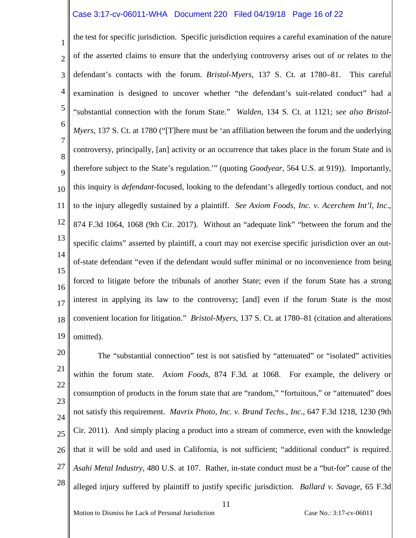## Case 3:17-cv-06011-WHA Document 220 Filed 04/19/18 Page 16 of 22

1 2 3 4 5 6 7 8 9 10 11 12 13 14 15 16 17 18 19 the test for specific jurisdiction. Specific jurisdiction requires a careful examination of the nature of the asserted claims to ensure that the underlying controversy arises out of or relates to the defendant's contacts with the forum. *Bristol-Myers*, 137 S. Ct. at 1780–81. This careful examination is designed to uncover whether "the defendant's suit-related conduct" had a "substantial connection with the forum State." *Walden*, 134 S. Ct. at 1121; *see also Bristol-Myers*, 137 S. Ct. at 1780 ("[T]here must be 'an affiliation between the forum and the underlying controversy, principally, [an] activity or an occurrence that takes place in the forum State and is therefore subject to the State's regulation.'" (quoting *Goodyear*, 564 U.S. at 919)). Importantly, this inquiry is *defendant*-focused, looking to the defendant's allegedly tortious conduct, and not to the injury allegedly sustained by a plaintiff. *See Axiom Foods, Inc. v. Acerchem Int'l, Inc*., 874 F.3d 1064, 1068 (9th Cir. 2017). Without an "adequate link" "between the forum and the specific claims" asserted by plaintiff, a court may not exercise specific jurisdiction over an outof-state defendant "even if the defendant would suffer minimal or no inconvenience from being forced to litigate before the tribunals of another State; even if the forum State has a strong interest in applying its law to the controversy; [and] even if the forum State is the most convenient location for litigation." *Bristol-Myers*, 137 S. Ct. at 1780–81 (citation and alterations omitted).

20 21 22 23 24 25 26 27 28 The "substantial connection" test is not satisfied by "attenuated" or "isolated" activities within the forum state. *Axiom Foods*, 874 F.3d*.* at 1068. For example, the delivery or consumption of products in the forum state that are "random," "fortuitous," or "attenuated" does not satisfy this requirement. *Mavrix Photo, Inc. v. Brand Techs., Inc*., 647 F.3d 1218, 1230 (9th Cir. 2011). And simply placing a product into a stream of commerce, even with the knowledge that it will be sold and used in California, is not sufficient; "additional conduct" is required. *Asahi Metal Industry*, 480 U.S. at 107. Rather, in-state conduct must be a "but-for" cause of the alleged injury suffered by plaintiff to justify specific jurisdiction. *Ballard v. Savage*, 65 F.3d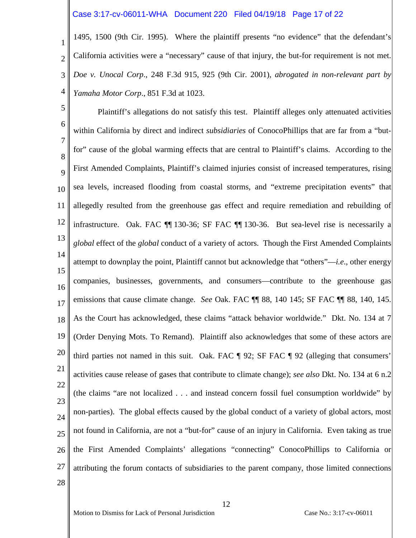## Case 3:17-cv-06011-WHA Document 220 Filed 04/19/18 Page 17 of 22

1 2 3 4 1495, 1500 (9th Cir. 1995). Where the plaintiff presents "no evidence" that the defendant's California activities were a "necessary" cause of that injury, the but-for requirement is not met. *Doe v. Unocal Corp*., 248 F.3d 915, 925 (9th Cir. 2001), *abrogated in non-relevant part by Yamaha Motor Corp*., 851 F.3d at 1023.

5 6 7 8 9 10 11 12 13 14 15 16 17 18 19 20 21 22 23 24 25 26 27 28 Plaintiff's allegations do not satisfy this test. Plaintiff alleges only attenuated activities within California by direct and indirect *subsidiaries* of ConocoPhillips that are far from a "butfor" cause of the global warming effects that are central to Plaintiff's claims. According to the First Amended Complaints, Plaintiff's claimed injuries consist of increased temperatures, rising sea levels, increased flooding from coastal storms, and "extreme precipitation events" that allegedly resulted from the greenhouse gas effect and require remediation and rebuilding of infrastructure. Oak. FAC ¶¶ 130-36; SF FAC ¶¶ 130-36. But sea-level rise is necessarily a *global* effect of the *global* conduct of a variety of actors. Though the First Amended Complaints attempt to downplay the point, Plaintiff cannot but acknowledge that "others"—*i.e*., other energy companies, businesses, governments, and consumers—contribute to the greenhouse gas emissions that cause climate change. *See* Oak. FAC ¶¶ 88, 140 145; SF FAC ¶¶ 88, 140, 145. As the Court has acknowledged, these claims "attack behavior worldwide." Dkt. No. 134 at 7 (Order Denying Mots. To Remand). Plaintiff also acknowledges that some of these actors are third parties not named in this suit. Oak. FAC ¶ 92; SF FAC ¶ 92 (alleging that consumers' activities cause release of gases that contribute to climate change); *see also* Dkt. No. 134 at 6 n.2 (the claims "are not localized . . . and instead concern fossil fuel consumption worldwide" by non-parties). The global effects caused by the global conduct of a variety of global actors, most not found in California, are not a "but-for" cause of an injury in California. Even taking as true the First Amended Complaints' allegations "connecting" ConocoPhillips to California or attributing the forum contacts of subsidiaries to the parent company, those limited connections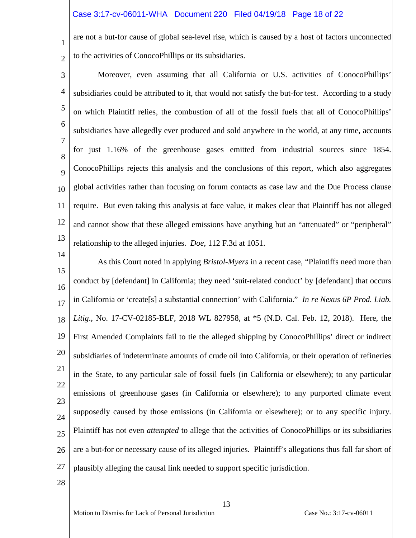## Case 3:17-cv-06011-WHA Document 220 Filed 04/19/18 Page 18 of 22

are not a but-for cause of global sea-level rise, which is caused by a host of factors unconnected to the activities of ConocoPhillips or its subsidiaries.

- 3 4 5 6 7 8 9 10 11 12 13 Moreover, even assuming that all California or U.S. activities of ConocoPhillips' subsidiaries could be attributed to it, that would not satisfy the but-for test. According to a study on which Plaintiff relies, the combustion of all of the fossil fuels that all of ConocoPhillips' subsidiaries have allegedly ever produced and sold anywhere in the world, at any time, accounts for just 1.16% of the greenhouse gases emitted from industrial sources since 1854. ConocoPhillips rejects this analysis and the conclusions of this report, which also aggregates global activities rather than focusing on forum contacts as case law and the Due Process clause require. But even taking this analysis at face value, it makes clear that Plaintiff has not alleged and cannot show that these alleged emissions have anything but an "attenuated" or "peripheral" relationship to the alleged injuries. *Doe*, 112 F.3d at 1051.
- 14 15 16 17 18 19 20 21 22 23 24 25 26 27 As this Court noted in applying *Bristol-Myers* in a recent case, "Plaintiffs need more than conduct by [defendant] in California; they need 'suit-related conduct' by [defendant] that occurs in California or 'create[s] a substantial connection' with California." *In re Nexus 6P Prod. Liab. Litig*., No. 17-CV-02185-BLF, 2018 WL 827958, at \*5 (N.D. Cal. Feb. 12, 2018). Here, the First Amended Complaints fail to tie the alleged shipping by ConocoPhillips' direct or indirect subsidiaries of indeterminate amounts of crude oil into California, or their operation of refineries in the State, to any particular sale of fossil fuels (in California or elsewhere); to any particular emissions of greenhouse gases (in California or elsewhere); to any purported climate event supposedly caused by those emissions (in California or elsewhere); or to any specific injury. Plaintiff has not even *attempted* to allege that the activities of ConocoPhillips or its subsidiaries are a but-for or necessary cause of its alleged injuries. Plaintiff's allegations thus fall far short of plausibly alleging the causal link needed to support specific jurisdiction.
- 28

1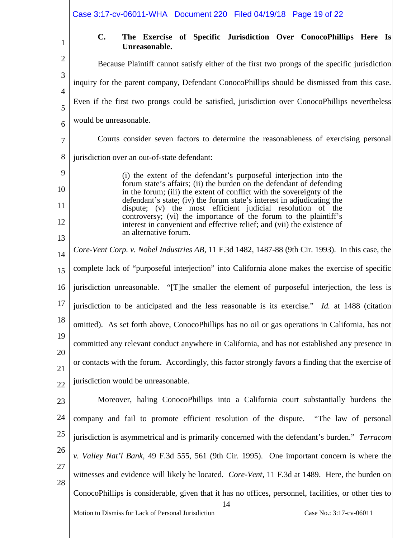|                     | Case 3:17-cv-06011-WHA Document 220 Filed 04/19/18 Page 19 of 22                                                                                                                                                         |
|---------------------|--------------------------------------------------------------------------------------------------------------------------------------------------------------------------------------------------------------------------|
| 1                   | $C_{\bullet}$<br>The Exercise of Specific Jurisdiction Over ConocoPhillips Here Is<br>Unreasonable.                                                                                                                      |
| $\overline{2}$      | Because Plaintiff cannot satisfy either of the first two prongs of the specific jurisdiction                                                                                                                             |
| 3<br>$\overline{4}$ | inquiry for the parent company, Defendant ConocoPhillips should be dismissed from this case.                                                                                                                             |
| 5                   | Even if the first two prongs could be satisfied, jurisdiction over ConocoPhillips nevertheless                                                                                                                           |
| 6                   | would be unreasonable.                                                                                                                                                                                                   |
| 7                   | Courts consider seven factors to determine the reasonableness of exercising personal                                                                                                                                     |
| $8\,$               | jurisdiction over an out-of-state defendant:                                                                                                                                                                             |
| 9                   | (i) the extent of the defendant's purposeful interjection into the                                                                                                                                                       |
| 10                  | forum state's affairs; (ii) the burden on the defendant of defending<br>in the forum; (iii) the extent of conflict with the sovereignty of the<br>defendant's state; (iv) the forum state's interest in adjudicating the |
| 11                  | dispute; (v) the most efficient judicial resolution of the<br>controversy; (vi) the importance of the forum to the plaintiff's                                                                                           |
| 12                  | interest in convenient and effective relief; and (vii) the existence of<br>an alternative forum.                                                                                                                         |
| 13<br>14            | Core-Vent Corp. v. Nobel Industries AB, 11 F.3d 1482, 1487-88 (9th Cir. 1993). In this case, the                                                                                                                         |
| 15                  | complete lack of "purposeful interjection" into California alone makes the exercise of specific                                                                                                                          |
| 16                  | jurisdiction unreasonable. "[T] he smaller the element of purposeful interjection, the less is                                                                                                                           |
| 17                  | jurisdiction to be anticipated and the less reasonable is its exercise." Id. at 1488 (citation                                                                                                                           |
| 18                  | omitted). As set forth above, ConocoPhillips has no oil or gas operations in California, has not                                                                                                                         |
| 19                  | committed any relevant conduct anywhere in California, and has not established any presence in                                                                                                                           |
| 20<br>21            | or contacts with the forum. Accordingly, this factor strongly favors a finding that the exercise of                                                                                                                      |
| 22                  | jurisdiction would be unreasonable.                                                                                                                                                                                      |
| 23                  | Moreover, haling ConocoPhillips into a California court substantially burdens the                                                                                                                                        |
| 24                  | company and fail to promote efficient resolution of the dispute.<br>"The law of personal"                                                                                                                                |
| 25                  | jurisdiction is asymmetrical and is primarily concerned with the defendant's burden." Terracom                                                                                                                           |
| 26                  | v. Valley Nat'l Bank, 49 F.3d 555, 561 (9th Cir. 1995). One important concern is where the                                                                                                                               |
| 27<br>28            | witnesses and evidence will likely be located. Core-Vent, 11 F.3d at 1489. Here, the burden on                                                                                                                           |
|                     | ConocoPhillips is considerable, given that it has no offices, personnel, facilities, or other ties to                                                                                                                    |
|                     | 14<br>Motion to Dismiss for Lack of Personal Jurisdiction<br>Case No.: 3:17-cv-06011                                                                                                                                     |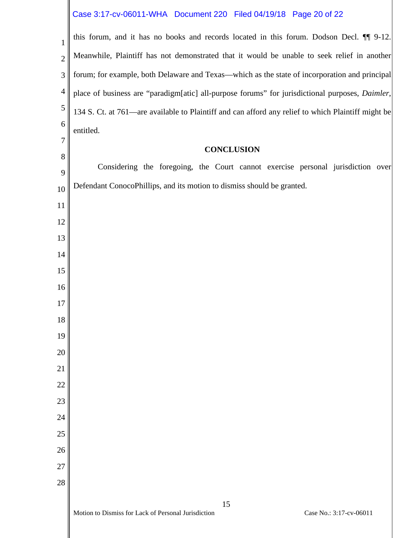# Case 3:17-cv-06011-WHA Document 220 Filed 04/19/18 Page 20 of 22

| $\mathbf{1}$   | this forum, and it has no books and records located in this forum. Dodson Decl. II 9-12.           |
|----------------|----------------------------------------------------------------------------------------------------|
| $\overline{2}$ | Meanwhile, Plaintiff has not demonstrated that it would be unable to seek relief in another        |
| 3              | forum; for example, both Delaware and Texas—which as the state of incorporation and principal      |
| 4              | place of business are "paradigm[atic] all-purpose forums" for jurisdictional purposes, Daimler,    |
| $\mathfrak{S}$ | 134 S. Ct. at 761—are available to Plaintiff and can afford any relief to which Plaintiff might be |
| 6              | entitled.                                                                                          |
| $\overline{7}$ | <b>CONCLUSION</b>                                                                                  |
| 8              |                                                                                                    |
| 9              | Considering the foregoing, the Court cannot exercise personal jurisdiction over                    |
| 10             | Defendant ConocoPhillips, and its motion to dismiss should be granted.                             |
| 11             |                                                                                                    |
| 12             |                                                                                                    |
| 13             |                                                                                                    |
| 14             |                                                                                                    |
| 15             |                                                                                                    |
| 16             |                                                                                                    |
| 17             |                                                                                                    |
| 18             |                                                                                                    |
| 19             |                                                                                                    |
| 20<br>21       |                                                                                                    |
| 22             |                                                                                                    |
| 23             |                                                                                                    |
| 24             |                                                                                                    |
| 25             |                                                                                                    |
| 26             |                                                                                                    |
| 27             |                                                                                                    |
| 28             |                                                                                                    |
|                | 15                                                                                                 |
|                | Motion to Dismiss for Lack of Personal Jurisdiction<br>Case No.: 3:17-cv-06011                     |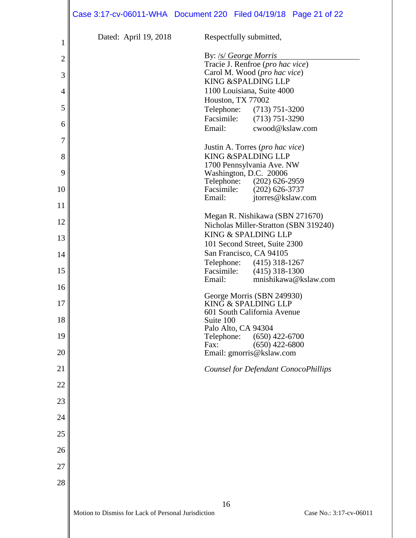| $\mathbf 1$    | Dated: April 19, 2018                               | Respectfully submitted,                               |
|----------------|-----------------------------------------------------|-------------------------------------------------------|
|                |                                                     | By: <i>/s/ George Morris</i>                          |
| $\overline{c}$ |                                                     | Tracie J. Renfroe (pro hac vice)                      |
| 3              |                                                     | Carol M. Wood (pro hac vice)<br>KING & SPALDING LLP   |
| $\overline{4}$ |                                                     | 1100 Louisiana, Suite 4000                            |
|                |                                                     | Houston, TX 77002                                     |
| 5              |                                                     | Telephone: (713) 751-3200                             |
| 6              |                                                     | Facsimile: (713) 751-3290                             |
|                |                                                     | cwood@kslaw.com<br>Email:                             |
| 7              |                                                     | Justin A. Torres (pro hac vice)                       |
| 8              |                                                     | KING & SPALDING LLP                                   |
| 9              |                                                     | 1700 Pennsylvania Ave. NW<br>Washington, D.C. 20006   |
|                |                                                     | Telephone: (202) 626-2959                             |
| 10             |                                                     | Facsimile: (202) 626-3737                             |
| 11             |                                                     | Email:<br>jtorres@kslaw.com                           |
|                |                                                     | Megan R. Nishikawa (SBN 271670)                       |
| 12             |                                                     | Nicholas Miller-Stratton (SBN 319240)                 |
| 13             |                                                     | KING & SPALDING LLP<br>101 Second Street, Suite 2300  |
| 14             |                                                     | San Francisco, CA 94105                               |
|                |                                                     | Telephone: (415) 318-1267                             |
| 15             |                                                     | Facsimile: (415) 318-1300<br>Email:                   |
| 16             |                                                     | mnishikawa@kslaw.com                                  |
|                |                                                     | George Morris (SBN 249930)                            |
| 17             |                                                     | KING & SPALDING LLP<br>601 South California Avenue    |
| 18             |                                                     | Suite 100                                             |
| 19             |                                                     | Palo Alto, CA 94304<br>$(650)$ 422-6700<br>Telephone: |
|                |                                                     | $(650)$ 422-6800<br>Fax:                              |
| 20             |                                                     | Email: gmorris@kslaw.com                              |
| 21             |                                                     | <b>Counsel for Defendant ConocoPhillips</b>           |
|                |                                                     |                                                       |
| 22             |                                                     |                                                       |
| 23             |                                                     |                                                       |
| 24             |                                                     |                                                       |
|                |                                                     |                                                       |
| 25             |                                                     |                                                       |
| 26             |                                                     |                                                       |
| 27             |                                                     |                                                       |
|                |                                                     |                                                       |
| 28             |                                                     |                                                       |
|                |                                                     | 16                                                    |
|                | Motion to Dismiss for Lack of Personal Jurisdiction | Case No.: 3:17-cv-06011                               |